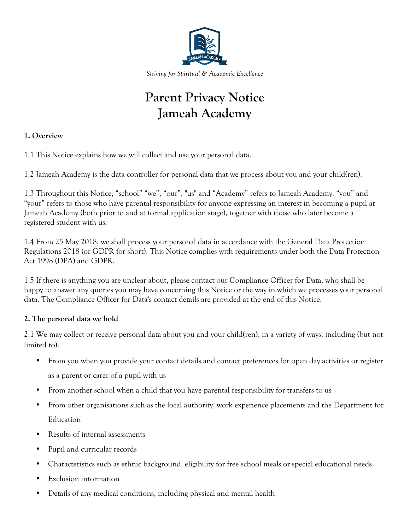

*Striving for Spiritual & Academic Excellence*

# **Parent Privacy Notice Jameah Academy**

## **1. Overview**

1.1 This Notice explains how we will collect and use your personal data.

1.2 Jameah Academy is the data controller for personal data that we process about you and your child(ren).

1.3 Throughout this Notice, "school" "we", "our", "us" and "Academy" refers to Jameah Academy. "you" and "your" refers to those who have parental responsibility for anyone expressing an interest in becoming a pupil at Jameah Academy (both prior to and at formal application stage), together with those who later become a registered student with us.

1.4 From 25 May 2018, we shall process your personal data in accordance with the General Data Protection Regulations 2018 (or GDPR for short). This Notice complies with requirements under both the Data Protection Act 1998 (DPA) and GDPR.

1.5 If there is anything you are unclear about, please contact our Compliance Officer for Data, who shall be happy to answer any queries you may have concerning this Notice or the way in which we processes your personal data. The Compliance Officer for Data's contact details are provided at the end of this Notice.

## **2. The personal data we hold**

2.1 We may collect or receive personal data about you and your child(ren), in a variety of ways, including (but not limited to):

- From you when you provide your contact details and contact preferences for open day activities or register as a parent or carer of a pupil with us
- From another school when a child that you have parental responsibility for transfers to us
- From other organisations such as the local authority, work experience placements and the Department for Education
- Results of internal assessments
- Pupil and curricular records
- Characteristics such as ethnic background, eligibility for free school meals or special educational needs
- Exclusion information
- Details of any medical conditions, including physical and mental health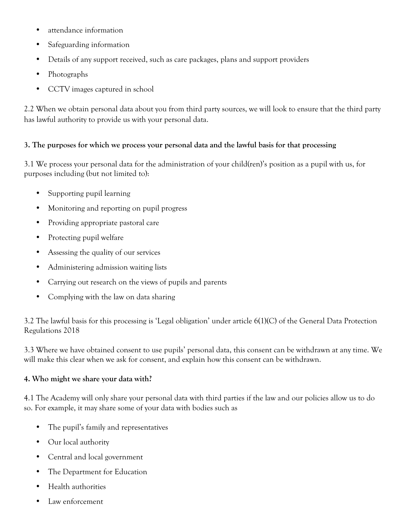- attendance information
- Safeguarding information
- Details of any support received, such as care packages, plans and support providers
- Photographs
- CCTV images captured in school

2.2 When we obtain personal data about you from third party sources, we will look to ensure that the third party has lawful authority to provide us with your personal data.

# **3. The purposes for which we process your personal data and the lawful basis for that processing**

3.1 We process your personal data for the administration of your child(ren)'s position as a pupil with us, for purposes including (but not limited to):

- Supporting pupil learning
- Monitoring and reporting on pupil progress
- Providing appropriate pastoral care
- Protecting pupil welfare
- Assessing the quality of our services
- Administering admission waiting lists
- Carrying out research on the views of pupils and parents
- Complying with the law on data sharing

3.2 The lawful basis for this processing is 'Legal obligation' under article 6(1)(C) of the General Data Protection Regulations 2018

3.3 Where we have obtained consent to use pupils' personal data, this consent can be withdrawn at any time. We will make this clear when we ask for consent, and explain how this consent can be withdrawn.

# **4. Who might we share your data with?**

4.1 The Academy will only share your personal data with third parties if the law and our policies allow us to do so. For example, it may share some of your data with bodies such as

- The pupil's family and representatives
- Our local authority
- Central and local government
- The Department for Education
- Health authorities
- Law enforcement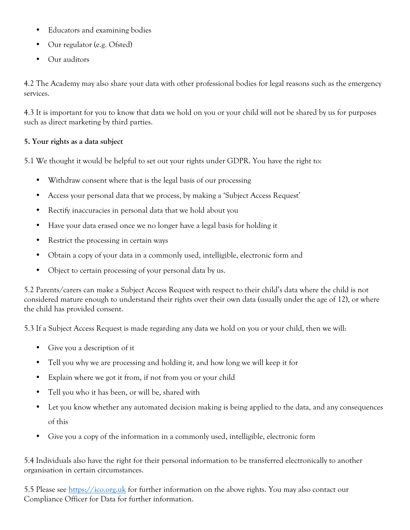- Educators and examining bodies
- Our regulator (e.g. Ofsted)
- Our auditors

4.2 The Academy may also share your data with other professional bodies for legal reasons such as the emergency services.

4.3 It is important for you to know that data we hold on you or your child will not be shared by us for purposes such as direct marketing by third parties.

# **5. Your rights as a data subject**

5.1 We thought it would be helpful to set out your rights under GDPR. You have the right to:

- Withdraw consent where that is the legal basis of our processing
- Access your personal data that we process, by making a 'Subject Access Request'
- Rectify inaccuracies in personal data that we hold about you
- Have your data erased once we no longer have a legal basis for holding it
- Restrict the processing in certain ways
- Obtain a copy of your data in a commonly used, intelligible, electronic form and
- Object to certain processing of your personal data by us.

5.2 Parents/carers can make a Subject Access Request with respect to their child's data where the child is not considered mature enough to understand their rights over their own data (usually under the age of 12), or where the child has provided consent.

5.3 If a Subject Access Request is made regarding any data we hold on you or your child, then we will:

- Give you a description of it
- Tell you why we are processing and holding it, and how long we will keep it for
- Explain where we got it from, if not from you or your child
- Tell you who it has been, or will be, shared with
- Let you know whether any automated decision making is being applied to the data, and any consequences of this
- Give you a copy of the information in a commonly used, intelligible, electronic form

5.4 Individuals also have the right for their personal information to be transferred electronically to another organisation in certain circumstances.

5.5 Please see https://ico.org.uk for further information on the above rights. You may also contact our Compliance Officer for Data for further information.